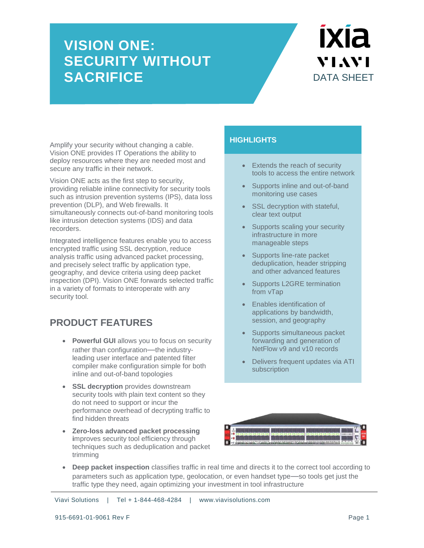### **VISION ONE: SECURITY WITHOUT SACRIFICE** DATA SHEET

# **IXIA** VIAVI

Amplify your security without changing a cable. Vision ONE provides IT Operations the ability to deploy resources where they are needed most and secure any traffic in their network.

Vision ONE acts as the first step to security, providing reliable inline connectivity for security tools such as intrusion prevention systems (IPS), data loss prevention (DLP), and Web firewalls. It simultaneously connects out-of-band monitoring tools like intrusion detection systems (IDS) and data recorders.

Integrated intelligence features enable you to access encrypted traffic using SSL decryption, reduce analysis traffic using advanced packet processing, and precisely select traffic by application type, geography, and device criteria using deep packet inspection (DPI). Vision ONE forwards selected traffic in a variety of formats to interoperate with any security tool.

### **PRODUCT FEATURES**

- **Powerful GUI allows you to focus on security** rather than configuration—the industryleading user interface and patented filter compiler make configuration simple for both inline and out-of-band topologies
- **SSL decryption** provides downstream security tools with plain text content so they do not need to support or incur the performance overhead of decrypting traffic to find hidden threats
- **Zero-loss advanced packet processing i**mproves security tool efficiency through techniques such as deduplication and packet trimming

### **HIGHLIGHTS**

- Extends the reach of security tools to access the entire network
- Supports inline and out-of-band monitoring use cases
- SSL decryption with stateful, clear text output
- Supports scaling your security infrastructure in more manageable steps
- Supports line-rate packet deduplication, header stripping and other advanced features
- Supports L2GRE termination from vTap
- **Enables identification of** applications by bandwidth, session, and geography
- Supports simultaneous packet forwarding and generation of NetFlow v9 and v10 records
- Delivers frequent updates via ATI subscription



 **Deep packet inspection** classifies traffic in real time and directs it to the correct tool according to parameters such as application type, geolocation, or even handset type—so tools get just the traffic type they need, again optimizing your investment in tool infrastructure

Viavi Solutions | Tel + 1-844-468-4284 | www.viavisolutions.com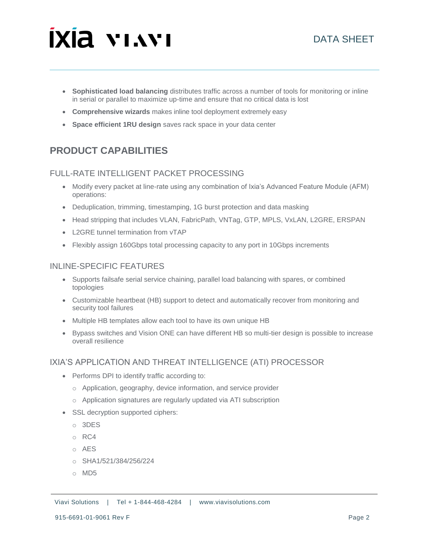## **ixia vinvi**

- **Sophisticated load balancing** distributes traffic across a number of tools for monitoring or inline in serial or parallel to maximize up-time and ensure that no critical data is lost
- **Comprehensive wizards** makes inline tool deployment extremely easy
- **Space efficient 1RU design** saves rack space in your data center

### **PRODUCT CAPABILITIES**

### FULL-RATE INTELLIGENT PACKET PROCESSING

- Modify every packet at line-rate using any combination of Ixia's Advanced Feature Module (AFM) operations:
- Deduplication, trimming, timestamping, 1G burst protection and data masking
- Head stripping that includes VLAN, FabricPath, VNTag, GTP, MPLS, VxLAN, L2GRE, ERSPAN
- L2GRE tunnel termination from vTAP
- Flexibly assign 160Gbps total processing capacity to any port in 10Gbps increments

### INLINE-SPECIFIC FEATURES

- Supports failsafe serial service chaining, parallel load balancing with spares, or combined topologies
- Customizable heartbeat (HB) support to detect and automatically recover from monitoring and security tool failures
- Multiple HB templates allow each tool to have its own unique HB
- Bypass switches and Vision ONE can have different HB so multi-tier design is possible to increase overall resilience

### IXIA'S APPLICATION AND THREAT INTELLIGENCE (ATI) PROCESSOR

- Performs DPI to identify traffic according to:
	- o Application, geography, device information, and service provider
	- o Application signatures are regularly updated via ATI subscription
- SSL decryption supported ciphers:
	- o 3DES
	- o RC4
	- o AES
	- o SHA1/521/384/256/224
	- o MD5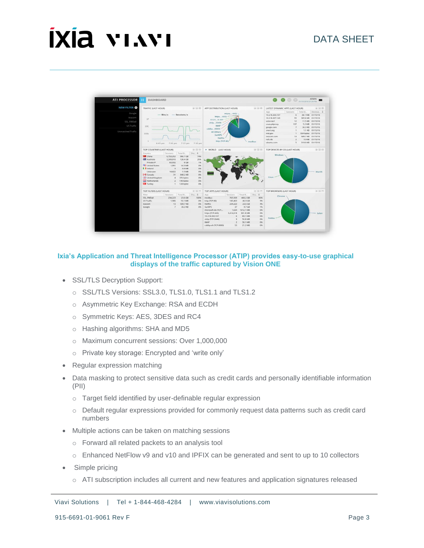# **IXIA VIAVI**



#### **Ixia's Application and Threat Intelligence Processor (ATIP) provides easy-to-use graphical displays of the traffic captured by Vision ONE**

- SSL/TLS Decryption Support:
	- o SSL/TLS Versions: SSL3.0, TLS1.0, TLS1.1 and TLS1.2
	- o Asymmetric Key Exchange: RSA and ECDH
	- o Symmetric Keys: AES, 3DES and RC4
	- o Hashing algorithms: SHA and MD5
	- o Maximum concurrent sessions: Over 1,000,000
	- o Private key storage: Encrypted and 'write only'
- Regular expression matching
- Data masking to protect sensitive data such as credit cards and personally identifiable information (PII)
	- o Target field identified by user-definable regular expression
	- o Default regular expressions provided for commonly request data patterns such as credit card numbers
- Multiple actions can be taken on matching sessions
	- o Forward all related packets to an analysis tool
	- o Enhanced NetFlow v9 and v10 and IPFIX can be generated and sent to up to 10 collectors
- Simple pricing
	- o ATI subscription includes all current and new features and application signatures released

Viavi Solutions | Tel + 1-844-468-4284 | www.viavisolutions.com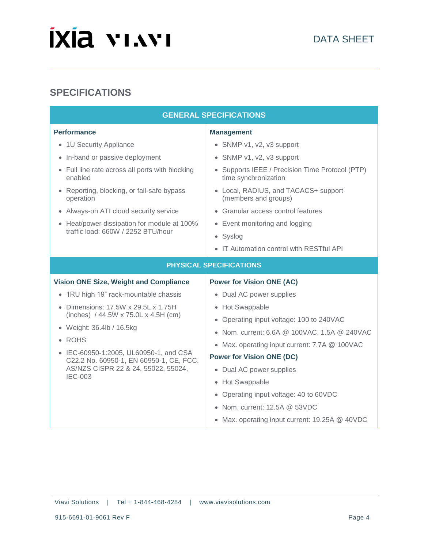# **IXIA VIAVI**

### **SPECIFICATIONS**

| <b>GENERAL SPECIFICATIONS</b>                                                                                                                                                                                                                                                                                                            |                                                                                                                                                                                                                                                                                                                                                                                                                                                                       |
|------------------------------------------------------------------------------------------------------------------------------------------------------------------------------------------------------------------------------------------------------------------------------------------------------------------------------------------|-----------------------------------------------------------------------------------------------------------------------------------------------------------------------------------------------------------------------------------------------------------------------------------------------------------------------------------------------------------------------------------------------------------------------------------------------------------------------|
| <b>Performance</b><br>• 1U Security Appliance<br>• In-band or passive deployment<br>• Full line rate across all ports with blocking<br>enabled<br>• Reporting, blocking, or fail-safe bypass<br>operation<br>• Always-on ATI cloud security service<br>• Heat/power dissipation for module at 100%<br>traffic load: 660W / 2252 BTU/hour | <b>Management</b><br>• SNMP v1, v2, v3 support<br>• SNMP v1, v2, v3 support<br>• Supports IEEE / Precision Time Protocol (PTP)<br>time synchronization<br>• Local, RADIUS, and TACACS+ support<br>(members and groups)<br>• Granular access control features<br>Event monitoring and logging<br>$\bullet$<br>• Syslog                                                                                                                                                 |
|                                                                                                                                                                                                                                                                                                                                          | IT Automation control with RESTful API<br>$\bullet$                                                                                                                                                                                                                                                                                                                                                                                                                   |
| <b>PHYSICAL SPECIFICATIONS</b>                                                                                                                                                                                                                                                                                                           |                                                                                                                                                                                                                                                                                                                                                                                                                                                                       |
| <b>Vision ONE Size, Weight and Compliance</b>                                                                                                                                                                                                                                                                                            | <b>Power for Vision ONE (AC)</b>                                                                                                                                                                                                                                                                                                                                                                                                                                      |
| • 1RU high 19" rack-mountable chassis<br>Dimensions: 17.5W x 29.5L x 1.75H<br>(inches) / 44.5W x 75.0L x 4.5H (cm)<br>• Weight: 36.4lb / 16.5kg<br>• ROHS<br>• IEC-60950-1:2005, UL60950-1, and CSA<br>C22.2 No. 60950-1, EN 60950-1, CE, FCC,<br>AS/NZS CISPR 22 & 24, 55022, 55024,<br><b>IEC-003</b>                                  | • Dual AC power supplies<br>• Hot Swappable<br>Operating input voltage: 100 to 240VAC<br>$\bullet$<br>Nom. current: 6.6A @ 100VAC, 1.5A @ 240VAC<br>$\bullet$<br>Max. operating input current: 7.7A @ 100VAC<br>$\bullet$<br><b>Power for Vision ONE (DC)</b><br>• Dual AC power supplies<br>Hot Swappable<br>$\bullet$<br>Operating input voltage: 40 to 60VDC<br>$\bullet$<br>• Nom. current: $12.5A \ @ \ 53VDC$<br>• Max. operating input current: 19.25A @ 40VDC |